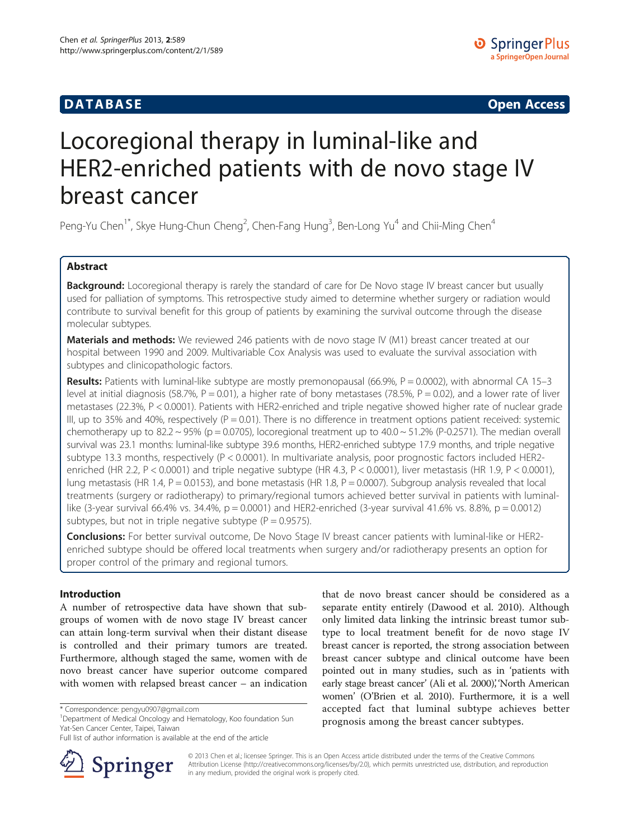# **DATABASE CONTRACTES AND INTERNATIONAL CONTRACTES OPEN ACCESS**

# Locoregional therapy in luminal-like and HER2-enriched patients with de novo stage IV breast cancer

Peng-Yu Chen<sup>1\*</sup>, Skye Hung-Chun Cheng<sup>2</sup>, Chen-Fang Hung<sup>3</sup>, Ben-Long Yu<sup>4</sup> and Chii-Ming Chen<sup>4</sup>

# Abstract

Background: Locoregional therapy is rarely the standard of care for De Novo stage IV breast cancer but usually used for palliation of symptoms. This retrospective study aimed to determine whether surgery or radiation would contribute to survival benefit for this group of patients by examining the survival outcome through the disease molecular subtypes.

Materials and methods: We reviewed 246 patients with de novo stage IV (M1) breast cancer treated at our hospital between 1990 and 2009. Multivariable Cox Analysis was used to evaluate the survival association with subtypes and clinicopathologic factors.

Results: Patients with luminal-like subtype are mostly premonopausal (66.9%,  $P = 0.0002$ ), with abnormal CA 15-3 level at initial diagnosis (58.7%,  $P = 0.01$ ), a higher rate of bony metastases (78.5%,  $P = 0.02$ ), and a lower rate of liver metastases (22.3%, P < 0.0001). Patients with HER2-enriched and triple negative showed higher rate of nuclear grade III, up to 35% and 40%, respectively ( $P = 0.01$ ). There is no difference in treatment options patient received: systemic chemotherapy up to 82.2 ~ 95% (p = 0.0705), locoregional treatment up to  $40.0 \sim 51.2\%$  (P-0.2571). The median overall survival was 23.1 months: luminal-like subtype 39.6 months, HER2-enriched subtype 17.9 months, and triple negative subtype 13.3 months, respectively (P < 0.0001). In multivariate analysis, poor prognostic factors included HER2 enriched (HR 2.2, P < 0.0001) and triple negative subtype (HR 4.3, P < 0.0001), liver metastasis (HR 1.9, P < 0.0001), lung metastasis (HR 1.4, P = 0.0153), and bone metastasis (HR 1.8, P = 0.0007). Subgroup analysis revealed that local treatments (surgery or radiotherapy) to primary/regional tumors achieved better survival in patients with luminallike (3-year survival 66.4% vs. 34.4%,  $p = 0.0001$ ) and HER2-enriched (3-year survival 41.6% vs. 8.8%,  $p = 0.0012$ ) subtypes, but not in triple negative subtype ( $P = 0.9575$ ).

Conclusions: For better survival outcome, De Novo Stage IV breast cancer patients with luminal-like or HER2enriched subtype should be offered local treatments when surgery and/or radiotherapy presents an option for proper control of the primary and regional tumors.

# Introduction

A number of retrospective data have shown that subgroups of women with de novo stage IV breast cancer can attain long-term survival when their distant disease is controlled and their primary tumors are treated. Furthermore, although staged the same, women with de novo breast cancer have superior outcome compared with women with relapsed breast cancer – an indication

Full list of author information is available at the end of the article



that de novo breast cancer should be considered as a separate entity entirely (Dawood et al. [2010\)](#page-5-0). Although only limited data linking the intrinsic breast tumor subtype to local treatment benefit for de novo stage IV breast cancer is reported, the strong association between breast cancer subtype and clinical outcome have been pointed out in many studies, such as in 'patients with early stage breast cancer' (Ali et al. [2000\)](#page-5-0), 'North American women' (O'Brien et al. [2010](#page-5-0)). Furthermore, it is a well accepted fact that luminal subtype achieves better prognosis among the breast cancer subtypes.

© 2013 Chen et al.; licensee Springer. This is an Open Access article distributed under the terms of the Creative Commons Attribution License [\(http://creativecommons.org/licenses/by/2.0\)](http://creativecommons.org/licenses/by/2.0), which permits unrestricted use, distribution, and reproduction in any medium, provided the original work is properly cited.

<sup>\*</sup> Correspondence: [pengyu0907@gmail.com](mailto:pengyu0907@gmail.com) <sup>1</sup>

<sup>&</sup>lt;sup>1</sup>Department of Medical Oncology and Hematology, Koo foundation Sun Yat-Sen Cancer Center, Taipei, Taiwan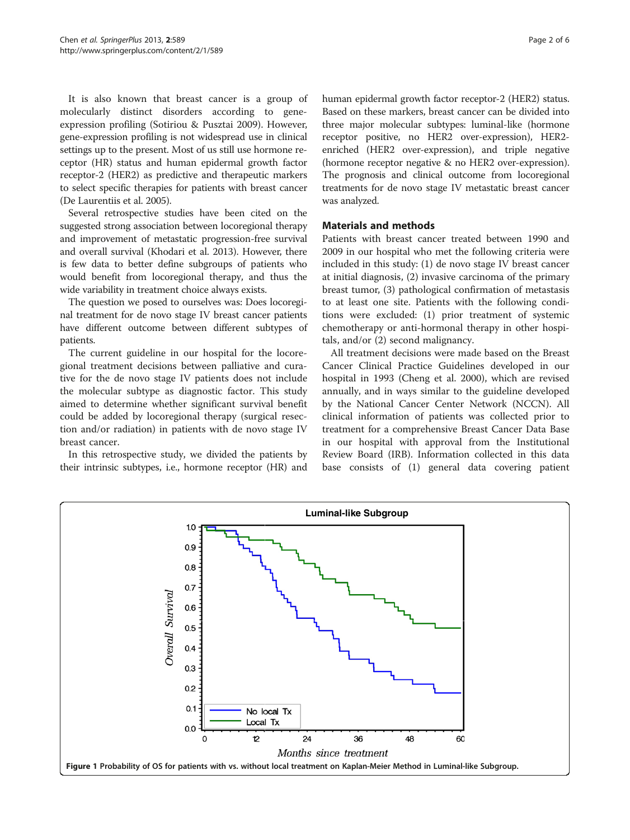<span id="page-1-0"></span>It is also known that breast cancer is a group of molecularly distinct disorders according to geneexpression profiling (Sotiriou & Pusztai [2009\)](#page-5-0). However, gene-expression profiling is not widespread use in clinical settings up to the present. Most of us still use hormone receptor (HR) status and human epidermal growth factor receptor-2 (HER2) as predictive and therapeutic markers to select specific therapies for patients with breast cancer (De Laurentiis et al. [2005](#page-5-0)).

Several retrospective studies have been cited on the suggested strong association between locoregional therapy and improvement of metastatic progression-free survival and overall survival (Khodari et al. [2013\)](#page-5-0). However, there is few data to better define subgroups of patients who would benefit from locoregional therapy, and thus the wide variability in treatment choice always exists.

The question we posed to ourselves was: Does locoreginal treatment for de novo stage IV breast cancer patients have different outcome between different subtypes of patients.

The current guideline in our hospital for the locoregional treatment decisions between palliative and curative for the de novo stage IV patients does not include the molecular subtype as diagnostic factor. This study aimed to determine whether significant survival benefit could be added by locoregional therapy (surgical resection and/or radiation) in patients with de novo stage IV breast cancer.

In this retrospective study, we divided the patients by their intrinsic subtypes, i.e., hormone receptor (HR) and human epidermal growth factor receptor-2 (HER2) status. Based on these markers, breast cancer can be divided into three major molecular subtypes: luminal-like (hormone receptor positive, no HER2 over-expression), HER2 enriched (HER2 over-expression), and triple negative (hormone receptor negative & no HER2 over-expression). The prognosis and clinical outcome from locoregional treatments for de novo stage IV metastatic breast cancer was analyzed.

## Materials and methods

Patients with breast cancer treated between 1990 and 2009 in our hospital who met the following criteria were included in this study: (1) de novo stage IV breast cancer at initial diagnosis, (2) invasive carcinoma of the primary breast tumor, (3) pathological confirmation of metastasis to at least one site. Patients with the following conditions were excluded: (1) prior treatment of systemic chemotherapy or anti-hormonal therapy in other hospitals, and/or (2) second malignancy.

All treatment decisions were made based on the Breast Cancer Clinical Practice Guidelines developed in our hospital in 1993 (Cheng et al. [2000](#page-5-0)), which are revised annually, and in ways similar to the guideline developed by the National Cancer Center Network (NCCN). All clinical information of patients was collected prior to treatment for a comprehensive Breast Cancer Data Base in our hospital with approval from the Institutional Review Board (IRB). Information collected in this data base consists of (1) general data covering patient

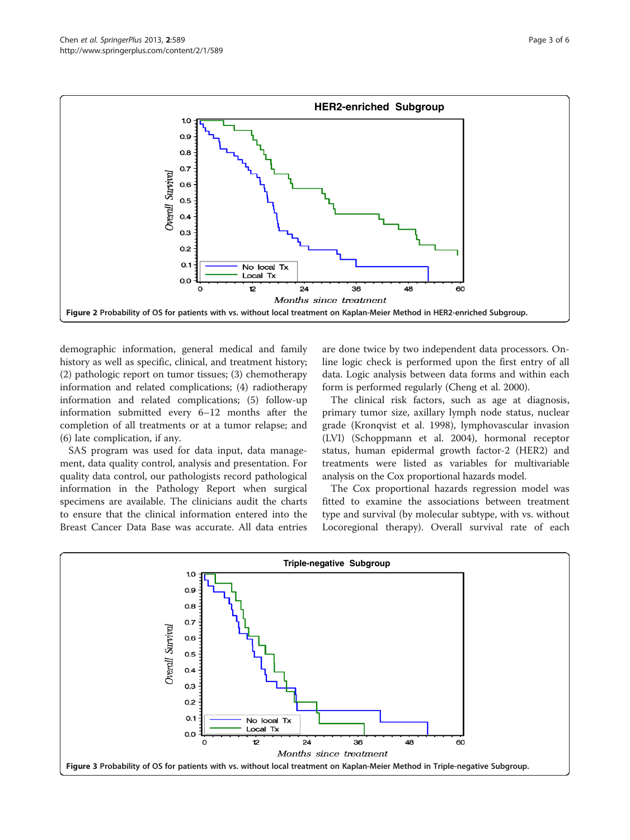<span id="page-2-0"></span>

demographic information, general medical and family history as well as specific, clinical, and treatment history; (2) pathologic report on tumor tissues; (3) chemotherapy information and related complications; (4) radiotherapy information and related complications; (5) follow-up information submitted every 6–12 months after the completion of all treatments or at a tumor relapse; and (6) late complication, if any.

SAS program was used for data input, data management, data quality control, analysis and presentation. For quality data control, our pathologists record pathological information in the Pathology Report when surgical specimens are available. The clinicians audit the charts to ensure that the clinical information entered into the Breast Cancer Data Base was accurate. All data entries

are done twice by two independent data processors. Online logic check is performed upon the first entry of all data. Logic analysis between data forms and within each form is performed regularly (Cheng et al. [2000\)](#page-5-0).

The clinical risk factors, such as age at diagnosis, primary tumor size, axillary lymph node status, nuclear grade (Kronqvist et al. [1998\)](#page-5-0), lymphovascular invasion (LVI) (Schoppmann et al. [2004\)](#page-5-0), hormonal receptor status, human epidermal growth factor-2 (HER2) and treatments were listed as variables for multivariable analysis on the Cox proportional hazards model.

The Cox proportional hazards regression model was fitted to examine the associations between treatment type and survival (by molecular subtype, with vs. without Locoregional therapy). Overall survival rate of each

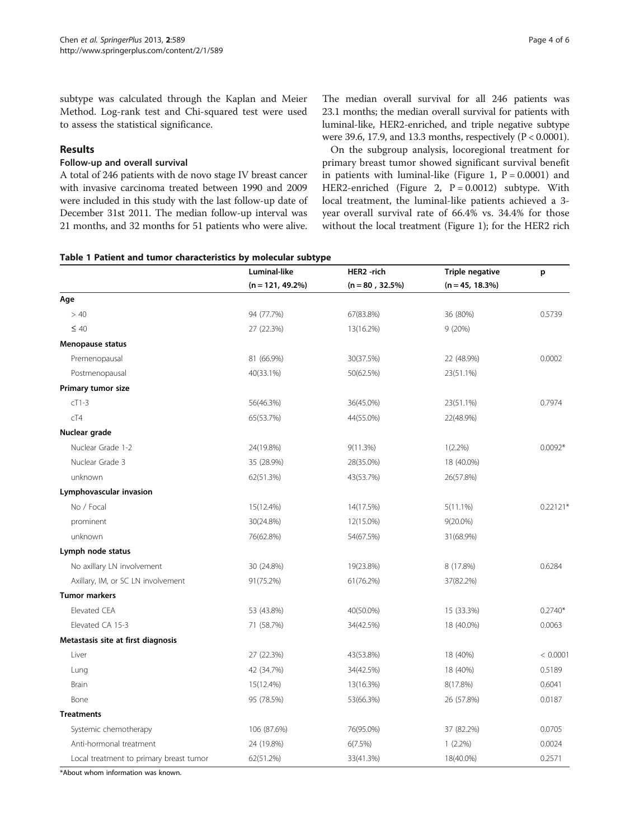<span id="page-3-0"></span>subtype was calculated through the Kaplan and Meier Method. Log-rank test and Chi-squared test were used to assess the statistical significance.

# Results

#### Follow-up and overall survival

A total of 246 patients with de novo stage IV breast cancer with invasive carcinoma treated between 1990 and 2009 were included in this study with the last follow-up date of December 31st 2011. The median follow-up interval was 21 months, and 32 months for 51 patients who were alive.

The median overall survival for all 246 patients was 23.1 months; the median overall survival for patients with luminal-like, HER2-enriched, and triple negative subtype were 39.6, 17.9, and 13.3 months, respectively (P < 0.0001).

On the subgroup analysis, locoregional treatment for primary breast tumor showed significant survival benefit in patients with luminal-like (Figure [1,](#page-1-0)  $P = 0.0001$ ) and HER2-enriched (Figure [2,](#page-2-0) P = 0.0012) subtype. With local treatment, the luminal-like patients achieved a 3 year overall survival rate of 66.4% vs. 34.4% for those without the local treatment (Figure [1\)](#page-1-0); for the HER2 rich

|  |  |  |  |  | Table 1 Patient and tumor characteristics by molecular subtype |  |  |  |
|--|--|--|--|--|----------------------------------------------------------------|--|--|--|
|--|--|--|--|--|----------------------------------------------------------------|--|--|--|

|                                         | Luminal-like        | HER2 -rich         | <b>Triple negative</b> | p          |
|-----------------------------------------|---------------------|--------------------|------------------------|------------|
|                                         | $(n = 121, 49.2\%)$ | $(n = 80, 32.5\%)$ | $(n = 45, 18.3\%)$     |            |
| Age                                     |                     |                    |                        |            |
| >40                                     | 94 (77.7%)          | 67(83.8%)          | 36 (80%)               | 0.5739     |
| $\leq 40$                               | 27 (22.3%)          | 13(16.2%)          | 9(20%)                 |            |
| Menopause status                        |                     |                    |                        |            |
| Premenopausal                           | 81 (66.9%)          | 30(37.5%)          | 22 (48.9%)             | 0.0002     |
| Postmenopausal                          | 40(33.1%)           | 50(62.5%)          | 23(51.1%)              |            |
| Primary tumor size                      |                     |                    |                        |            |
| $cT1-3$                                 | 56(46.3%)           | 36(45.0%)          | 23(51.1%)              | 0.7974     |
| cT4                                     | 65(53.7%)           | 44(55.0%)          | 22(48.9%)              |            |
| Nuclear grade                           |                     |                    |                        |            |
| Nuclear Grade 1-2                       | 24(19.8%)           | 9(11.3%)           | $1(2.2\%)$             | $0.0092*$  |
| Nuclear Grade 3                         | 35 (28.9%)          | 28(35.0%)          | 18 (40.0%)             |            |
| unknown                                 | 62(51.3%)           | 43(53.7%)          | 26(57.8%)              |            |
| Lymphovascular invasion                 |                     |                    |                        |            |
| No / Focal                              | 15(12.4%)           | 14(17.5%)          | $5(11.1\%)$            | $0.22121*$ |
| prominent                               | 30(24.8%)           | 12(15.0%)          | $9(20.0\%)$            |            |
| unknown                                 | 76(62.8%)           | 54(67.5%)          | 31(68.9%)              |            |
| Lymph node status                       |                     |                    |                        |            |
| No axillary LN involvement              | 30 (24.8%)          | 19(23.8%)          | 8 (17.8%)              | 0.6284     |
| Axillary, IM, or SC LN involvement      | 91(75.2%)           | 61(76.2%)          | 37(82.2%)              |            |
| <b>Tumor markers</b>                    |                     |                    |                        |            |
| <b>Elevated CEA</b>                     | 53 (43.8%)          | 40(50.0%)          | 15 (33.3%)             | $0.2740*$  |
| Elevated CA 15-3                        | 71 (58.7%)          | 34(42.5%)          | 18 (40.0%)             | 0.0063     |
| Metastasis site at first diagnosis      |                     |                    |                        |            |
| Liver                                   | 27 (22.3%)          | 43(53.8%)          | 18 (40%)               | < 0.0001   |
| Lung                                    | 42 (34.7%)          | 34(42.5%)          | 18 (40%)               | 0.5189     |
| Brain                                   | 15(12.4%)           | 13(16.3%)          | 8(17.8%)               | 0.6041     |
| Bone                                    | 95 (78.5%)          | 53(66.3%)          | 26 (57.8%)             | 0.0187     |
| <b>Treatments</b>                       |                     |                    |                        |            |
| Systemic chemotherapy                   | 106 (87.6%)         | 76(95.0%)          | 37 (82.2%)             | 0.0705     |
| Anti-hormonal treatment                 | 24 (19.8%)          | 6(7.5%)            | $1(2.2\%)$             | 0.0024     |
| Local treatment to primary breast tumor | 62(51.2%)           | 33(41.3%)          | 18(40.0%)              | 0.2571     |

\*About whom information was known.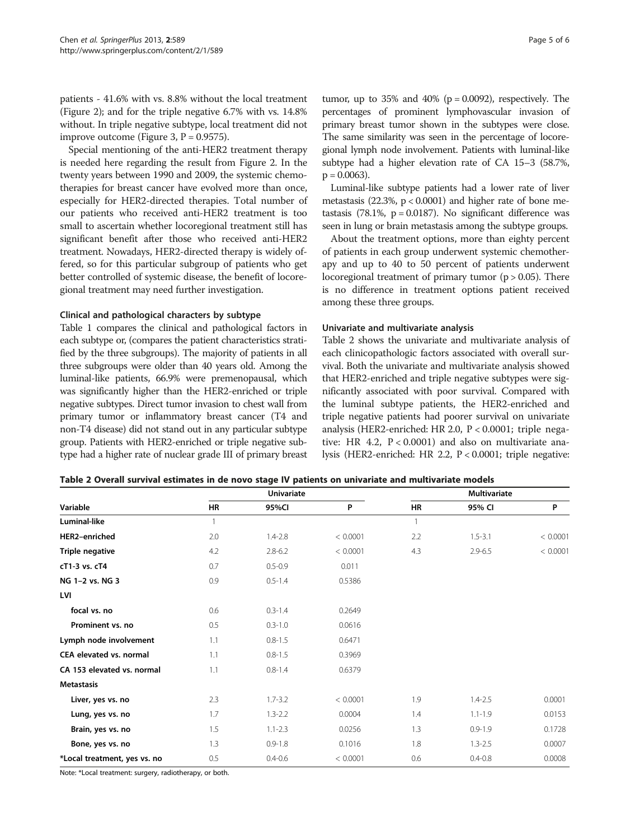patients - 41.6% with vs. 8.8% without the local treatment (Figure [2](#page-2-0)); and for the triple negative 6.7% with vs. 14.8% without. In triple negative subtype, local treatment did not improve outcome (Figure [3,](#page-2-0)  $P = 0.9575$ ).

Special mentioning of the anti-HER2 treatment therapy is needed here regarding the result from Figure [2.](#page-2-0) In the twenty years between 1990 and 2009, the systemic chemotherapies for breast cancer have evolved more than once, especially for HER2-directed therapies. Total number of our patients who received anti-HER2 treatment is too small to ascertain whether locoregional treatment still has significant benefit after those who received anti-HER2 treatment. Nowadays, HER2-directed therapy is widely offered, so for this particular subgroup of patients who get better controlled of systemic disease, the benefit of locoregional treatment may need further investigation.

#### Clinical and pathological characters by subtype

Table [1](#page-3-0) compares the clinical and pathological factors in each subtype or, (compares the patient characteristics stratified by the three subgroups). The majority of patients in all three subgroups were older than 40 years old. Among the luminal-like patients, 66.9% were premenopausal, which was significantly higher than the HER2-enriched or triple negative subtypes. Direct tumor invasion to chest wall from primary tumor or inflammatory breast cancer (T4 and non-T4 disease) did not stand out in any particular subtype group. Patients with HER2-enriched or triple negative subtype had a higher rate of nuclear grade III of primary breast tumor, up to  $35\%$  and  $40\%$  ( $p = 0.0092$ ), respectively. The percentages of prominent lymphovascular invasion of primary breast tumor shown in the subtypes were close. The same similarity was seen in the percentage of locoregional lymph node involvement. Patients with luminal-like subtype had a higher elevation rate of CA 15–3 (58.7%,  $p = 0.0063$ ).

Luminal-like subtype patients had a lower rate of liver metastasis (22.3%, p < 0.0001) and higher rate of bone metastasis (78.1%,  $p = 0.0187$ ). No significant difference was seen in lung or brain metastasis among the subtype groups.

About the treatment options, more than eighty percent of patients in each group underwent systemic chemotherapy and up to 40 to 50 percent of patients underwent locoregional treatment of primary tumor ( $p > 0.05$ ). There is no difference in treatment options patient received among these three groups.

#### Univariate and multivariate analysis

Table 2 shows the univariate and multivariate analysis of each clinicopathologic factors associated with overall survival. Both the univariate and multivariate analysis showed that HER2-enriched and triple negative subtypes were significantly associated with poor survival. Compared with the luminal subtype patients, the HER2-enriched and triple negative patients had poorer survival on univariate analysis (HER2-enriched: HR 2.0, P < 0.0001; triple negative: HR 4.2,  $P < 0.0001$ ) and also on multivariate analysis (HER2-enriched: HR 2.2, P < 0.0001; triple negative:

| Table 2 Overall survival estimates in de novo stage IV patients on univariate and multivariate models |  |
|-------------------------------------------------------------------------------------------------------|--|
|-------------------------------------------------------------------------------------------------------|--|

|                              |              | <b>Univariate</b> |          | <b>Multivariate</b> |             |          |  |
|------------------------------|--------------|-------------------|----------|---------------------|-------------|----------|--|
| Variable                     | <b>HR</b>    | 95%CI             | P        | HR                  | 95% CI      | P        |  |
| Luminal-like                 | $\mathbf{1}$ |                   |          | $\mathbf{1}$        |             |          |  |
| HER2-enriched                | 2.0          | $1.4 - 2.8$       | < 0.0001 | 2.2                 | $1.5 - 3.1$ | < 0.0001 |  |
| Triple negative              | 4.2          | $2.8 - 6.2$       | < 0.0001 | 4.3                 | $2.9 - 6.5$ | < 0.0001 |  |
| cT1-3 vs. cT4                | 0.7          | $0.5 - 0.9$       | 0.011    |                     |             |          |  |
| NG 1-2 vs. NG 3              | 0.9          | $0.5 - 1.4$       | 0.5386   |                     |             |          |  |
| LVI                          |              |                   |          |                     |             |          |  |
| focal vs. no                 | 0.6          | $0.3 - 1.4$       | 0.2649   |                     |             |          |  |
| Prominent vs. no             | 0.5          | $0.3 - 1.0$       | 0.0616   |                     |             |          |  |
| Lymph node involvement       | 1.1          | $0.8 - 1.5$       | 0.6471   |                     |             |          |  |
| CEA elevated vs. normal      | 1.1          | $0.8 - 1.5$       | 0.3969   |                     |             |          |  |
| CA 153 elevated vs. normal   | 1.1          | $0.8 - 1.4$       | 0.6379   |                     |             |          |  |
| <b>Metastasis</b>            |              |                   |          |                     |             |          |  |
| Liver, yes vs. no            | 2.3          | $1.7 - 3.2$       | < 0.0001 | 1.9                 | $1.4 - 2.5$ | 0.0001   |  |
| Lung, yes vs. no             | 1.7          | $1.3 - 2.2$       | 0.0004   | 1.4                 | $1.1 - 1.9$ | 0.0153   |  |
| Brain, yes vs. no            | 1.5          | $1.1 - 2.3$       | 0.0256   | 1.3                 | $0.9 - 1.9$ | 0.1728   |  |
| Bone, yes vs. no             | 1.3          | $0.9 - 1.8$       | 0.1016   | 1.8                 | $1.3 - 2.5$ | 0.0007   |  |
| *Local treatment, yes vs. no | 0.5          | $0.4 - 0.6$       | < 0.0001 | 0.6                 | $0.4 - 0.8$ | 0.0008   |  |

Note: \*Local treatment: surgery, radiotherapy, or both.